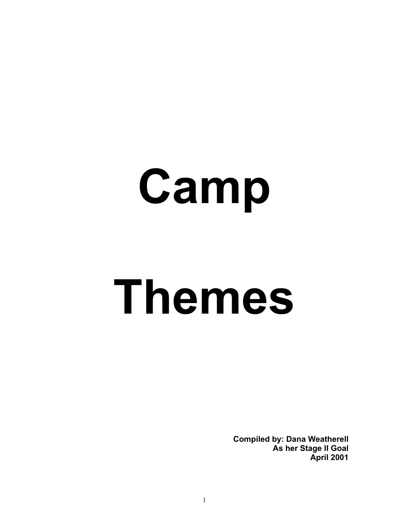# **Camp**

# **Themes**

**Compiled by: Dana Weatherell As her Stage II Goal April 2001**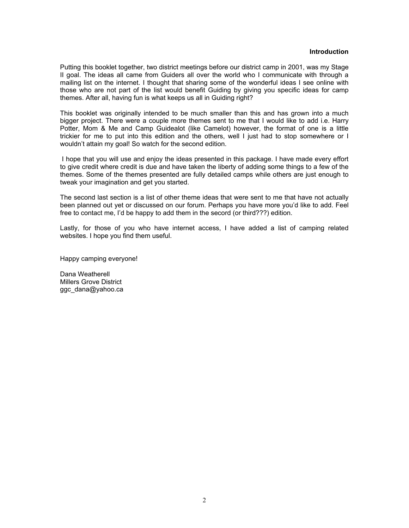#### **Introduction**

Putting this booklet together, two district meetings before our district camp in 2001, was my Stage II goal. The ideas all came from Guiders all over the world who I communicate with through a mailing list on the internet. I thought that sharing some of the wonderful ideas I see online with those who are not part of the list would benefit Guiding by giving you specific ideas for camp themes. After all, having fun is what keeps us all in Guiding right?

This booklet was originally intended to be much smaller than this and has grown into a much bigger project. There were a couple more themes sent to me that I would like to add i.e. Harry Potter, Mom & Me and Camp Guidealot (like Camelot) however, the format of one is a little trickier for me to put into this edition and the others, well I just had to stop somewhere or I wouldn't attain my goal! So watch for the second edition.

 I hope that you will use and enjoy the ideas presented in this package. I have made every effort to give credit where credit is due and have taken the liberty of adding some things to a few of the themes. Some of the themes presented are fully detailed camps while others are just enough to tweak your imagination and get you started.

The second last section is a list of other theme ideas that were sent to me that have not actually been planned out yet or discussed on our forum. Perhaps you have more you'd like to add. Feel free to contact me, I'd be happy to add them in the secord (or third???) edition.

Lastly, for those of you who have internet access, I have added a list of camping related websites. I hope you find them useful.

Happy camping everyone!

Dana Weatherell Millers Grove District ggc\_dana@yahoo.ca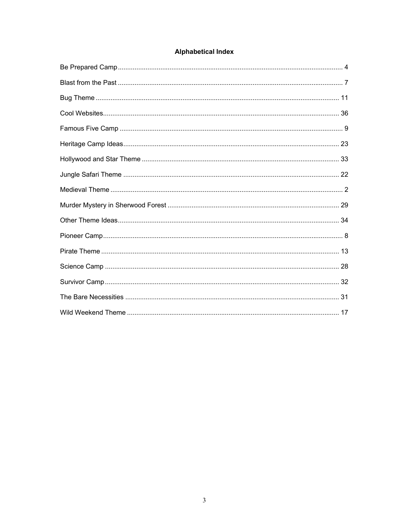# **Alphabetical Index**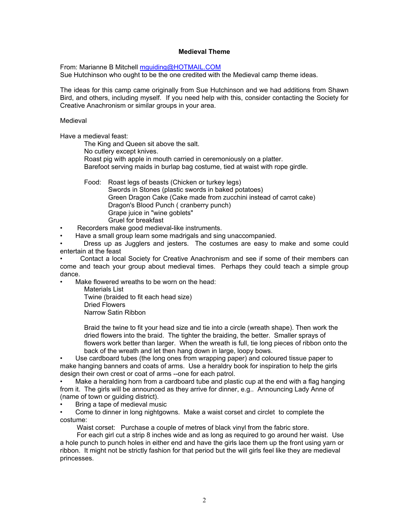## **Medieval Theme**

From: Marianne B Mitchell mguiding@HOTMAIL.COM Sue Hutchinson who ought to be the one credited with the Medieval camp theme ideas.

The ideas for this camp came originally from Sue Hutchinson and we had additions from Shawn Bird, and others, including myself. If you need help with this, consider contacting the Society for Creative Anachronism or similar groups in your area.

#### Medieval

Have a medieval feast:

The King and Queen sit above the salt. No cutlery except knives. Roast pig with apple in mouth carried in ceremoniously on a platter. Barefoot serving maids in burlap bag costume, tied at waist with rope girdle.

Food: Roast legs of beasts (Chicken or turkey legs) Swords in Stones (plastic swords in baked potatoes) Green Dragon Cake (Cake made from zucchini instead of carrot cake) Dragon's Blood Punch ( cranberry punch) Grape juice in "wine goblets" Gruel for breakfast

Recorders make good medieval-like instruments.

• Have a small group learn some madrigals and sing unaccompanied.

• Dress up as Jugglers and jesters. The costumes are easy to make and some could entertain at the feast

• Contact a local Society for Creative Anachronism and see if some of their members can come and teach your group about medieval times. Perhaps they could teach a simple group dance.

Make flowered wreaths to be worn on the head:

Materials List Twine (braided to fit each head size) Dried Flowers Narrow Satin Ribbon

Braid the twine to fit your head size and tie into a circle (wreath shape). Then work the dried flowers into the braid. The tighter the braiding, the better. Smaller sprays of flowers work better than larger. When the wreath is full, tie long pieces of ribbon onto the back of the wreath and let then hang down in large, loopy bows.

• Use cardboard tubes (the long ones from wrapping paper) and coloured tissue paper to make hanging banners and coats of arms. Use a heraldry book for inspiration to help the girls design their own crest or coat of arms --one for each patrol.

Make a heralding horn from a cardboard tube and plastic cup at the end with a flag hanging from it. The girls will be announced as they arrive for dinner, e.g.. Announcing Lady Anne of (name of town or guiding district).

• Bring a tape of medieval music

• Come to dinner in long nightgowns. Make a waist corset and circlet to complete the costume:

Waist corset: Purchase a couple of metres of black vinyl from the fabric store.

 For each girl cut a strip 8 inches wide and as long as required to go around her waist. Use a hole punch to punch holes in either end and have the girls lace them up the front using yarn or ribbon. It might not be strictly fashion for that period but the will girls feel like they are medieval princesses.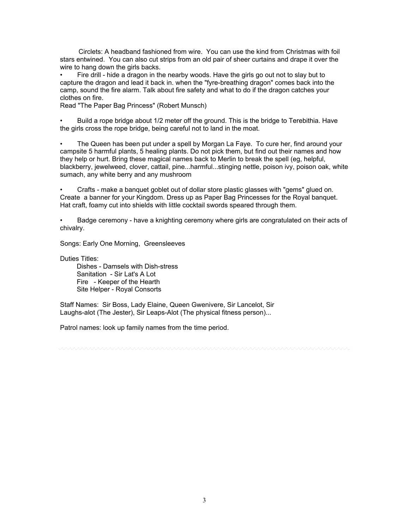Circlets: A headband fashioned from wire. You can use the kind from Christmas with foil stars entwined. You can also cut strips from an old pair of sheer curtains and drape it over the wire to hang down the girls backs.

• Fire drill - hide a dragon in the nearby woods. Have the girls go out not to slay but to capture the dragon and lead it back in. when the "fyre-breathing dragon" comes back into the camp, sound the fire alarm. Talk about fire safety and what to do if the dragon catches your clothes on fire.

Read "The Paper Bag Princess" (Robert Munsch)

• Build a rope bridge about 1/2 meter off the ground. This is the bridge to Terebithia. Have the girls cross the rope bridge, being careful not to land in the moat.

• The Queen has been put under a spell by Morgan La Faye. To cure her, find around your campsite 5 harmful plants, 5 healing plants. Do not pick them, but find out their names and how they help or hurt. Bring these magical names back to Merlin to break the spell (eg, helpful, blackberry, jewelweed, clover, cattail, pine...harmful...stinging nettle, poison ivy, poison oak, white sumach, any white berry and any mushroom

• Crafts - make a banquet goblet out of dollar store plastic glasses with "gems" glued on. Create a banner for your Kingdom. Dress up as Paper Bag Princesses for the Royal banquet. Hat craft, foamy cut into shields with little cocktail swords speared through them.

• Badge ceremony - have a knighting ceremony where girls are congratulated on their acts of chivalry.

Songs: Early One Morning, Greensleeves

Duties Titles:

 Dishes - Damsels with Dish-stress Sanitation - Sir Lat's A Lot Fire - Keeper of the Hearth Site Helper - Royal Consorts

Staff Names: Sir Boss, Lady Elaine, Queen Gwenivere, Sir Lancelot, Sir Laughs-alot (The Jester), Sir Leaps-Alot (The physical fitness person)...

Patrol names: look up family names from the time period.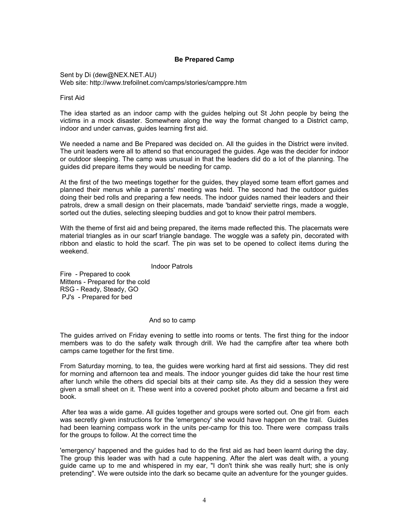## **Be Prepared Camp**

Sent by Di (dew@NEX.NET.AU) Web site: http://www.trefoilnet.com/camps/stories/camppre.htm

First Aid

The idea started as an indoor camp with the guides helping out St John people by being the victims in a mock disaster. Somewhere along the way the format changed to a District camp, indoor and under canvas, guides learning first aid.

We needed a name and Be Prepared was decided on. All the guides in the District were invited. The unit leaders were all to attend so that encouraged the guides. Age was the decider for indoor or outdoor sleeping. The camp was unusual in that the leaders did do a lot of the planning. The guides did prepare items they would be needing for camp.

At the first of the two meetings together for the guides, they played some team effort games and planned their menus while a parents' meeting was held. The second had the outdoor guides doing their bed rolls and preparing a few needs. The indoor guides named their leaders and their patrols, drew a small design on their placemats, made 'bandaid' serviette rings, made a woggle, sorted out the duties, selecting sleeping buddies and got to know their patrol members.

With the theme of first aid and being prepared, the items made reflected this. The placemats were material triangles as in our scarf triangle bandage. The woggle was a safety pin, decorated with ribbon and elastic to hold the scarf. The pin was set to be opened to collect items during the weekend.

#### Indoor Patrols

Fire - Prepared to cook Mittens - Prepared for the cold RSG - Ready, Steady, GO PJ's - Prepared for bed

#### And so to camp

The guides arrived on Friday evening to settle into rooms or tents. The first thing for the indoor members was to do the safety walk through drill. We had the campfire after tea where both camps came together for the first time.

From Saturday morning, to tea, the guides were working hard at first aid sessions. They did rest for morning and afternoon tea and meals. The indoor younger guides did take the hour rest time after lunch while the others did special bits at their camp site. As they did a session they were given a small sheet on it. These went into a covered pocket photo album and became a first aid book.

 After tea was a wide game. All guides together and groups were sorted out. One girl from each was secretly given instructions for the 'emergency' she would have happen on the trail. Guides had been learning compass work in the units per-camp for this too. There were compass trails for the groups to follow. At the correct time the

'emergency' happened and the guides had to do the first aid as had been learnt during the day. The group this leader was with had a cute happening. After the alert was dealt with, a young guide came up to me and whispered in my ear, "I don't think she was really hurt; she is only pretending". We were outside into the dark so became quite an adventure for the younger guides.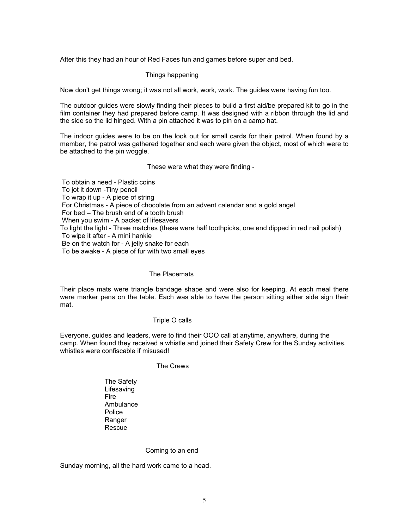After this they had an hour of Red Faces fun and games before super and bed.

## Things happening

Now don't get things wrong; it was not all work, work, work. The guides were having fun too.

The outdoor guides were slowly finding their pieces to build a first aid/be prepared kit to go in the film container they had prepared before camp. It was designed with a ribbon through the lid and the side so the lid hinged. With a pin attached it was to pin on a camp hat.

The indoor guides were to be on the look out for small cards for their patrol. When found by a member, the patrol was gathered together and each were given the object, most of which were to be attached to the pin woggle.

## These were what they were finding -

 To obtain a need - Plastic coins To jot it down -Tiny pencil To wrap it up - A piece of string For Christmas - A piece of chocolate from an advent calendar and a gold angel For bed – The brush end of a tooth brush When you swim - A packet of lifesavers To light the light - Three matches (these were half toothpicks, one end dipped in red nail polish) To wipe it after - A mini hankie Be on the watch for - A jelly snake for each To be awake - A piece of fur with two small eyes

## The Placemats

Their place mats were triangle bandage shape and were also for keeping. At each meal there were marker pens on the table. Each was able to have the person sitting either side sign their mat.

## Triple O calls

Everyone, guides and leaders, were to find their OOO call at anytime, anywhere, during the camp. When found they received a whistle and joined their Safety Crew for the Sunday activities. whistles were confiscable if misused!

## The Crews

 The Safety Lifesaving Fire Ambulance Police Ranger Rescue

## Coming to an end

Sunday morning, all the hard work came to a head.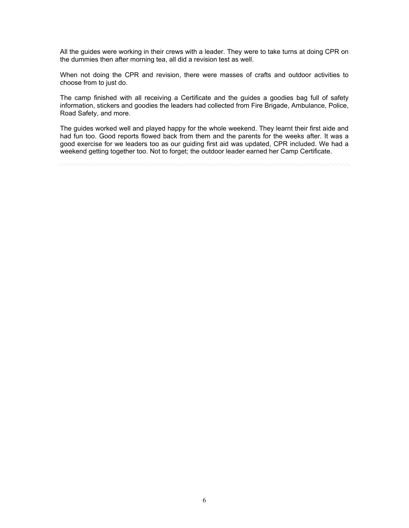All the guides were working in their crews with a leader. They were to take turns at doing CPR on the dummies then after morning tea, all did a revision test as well.

When not doing the CPR and revision, there were masses of crafts and outdoor activities to choose from to just do.

The camp finished with all receiving a Certificate and the guides a goodies bag full of safety information, stickers and goodies the leaders had collected from Fire Brigade, Ambulance, Police, Road Safety, and more.

The guides worked well and played happy for the whole weekend. They learnt their first aide and had fun too. Good reports flowed back from them and the parents for the weeks after. It was a good exercise for we leaders too as our guiding first aid was updated, CPR included. We had a weekend getting together too. Not to forget; the outdoor leader earned her Camp Certificate.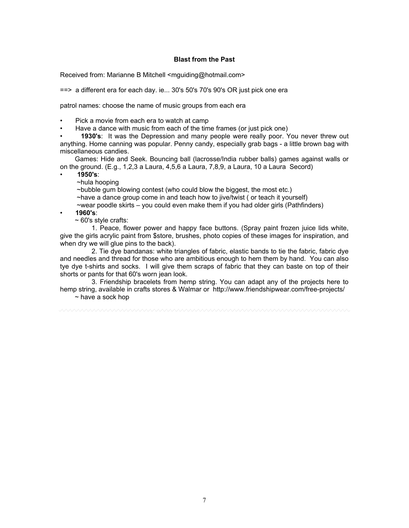## **Blast from the Past**

Received from: Marianne B Mitchell <mguiding@hotmail.com>

==> a different era for each day. ie... 30's 50's 70's 90's OR just pick one era

patrol names: choose the name of music groups from each era

• Pick a movie from each era to watch at camp

• Have a dance with music from each of the time frames (or just pick one)

• **1930's**: It was the Depression and many people were really poor. You never threw out anything. Home canning was popular. Penny candy, especially grab bags - a little brown bag with miscellaneous candies.

 Games: Hide and Seek. Bouncing ball (lacrosse/India rubber balls) games against walls or on the ground. (E.g., 1,2,3 a Laura, 4,5,6 a Laura, 7,8,9, a Laura, 10 a Laura Secord)

• **1950's**:

~hula hooping

~bubble gum blowing contest (who could blow the biggest, the most etc.)

~have a dance group come in and teach how to jive/twist ( or teach it yourself)

~wear poodle skirts – you could even make them if you had older girls (Pathfinders)

• **1960's**:

 $\sim$  60's style crafts:

 1. Peace, flower power and happy face buttons. (Spray paint frozen juice lids white, give the girls acrylic paint from \$store, brushes, photo copies of these images for inspiration, and when dry we will glue pins to the back).

 2. Tie dye bandanas: white triangles of fabric, elastic bands to tie the fabric, fabric dye and needles and thread for those who are ambitious enough to hem them by hand. You can also tye dye t-shirts and socks. I will give them scraps of fabric that they can baste on top of their shorts or pants for that 60's worn jean look.

 3. Friendship bracelets from hemp string. You can adapt any of the projects here to hemp string, available in crafts stores & Walmar or http://www.friendshipwear.com/free-projects/ ~ have a sock hop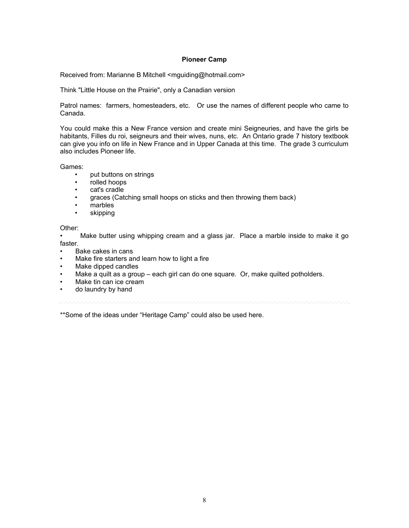#### **Pioneer Camp**

Received from: Marianne B Mitchell <mquiding@hotmail.com>

Think "Little House on the Prairie", only a Canadian version

Patrol names: farmers, homesteaders, etc. Or use the names of different people who came to Canada.

You could make this a New France version and create mini Seigneuries, and have the girls be habitants, Filles du roi, seigneurs and their wives, nuns, etc. An Ontario grade 7 history textbook can give you info on life in New France and in Upper Canada at this time. The grade 3 curriculum also includes Pioneer life.

Games:

- put buttons on strings
- rolled hoops
- cat's cradle
- graces (Catching small hoops on sticks and then throwing them back)
- marbles
- skipping

Other:

Make butter using whipping cream and a glass jar. Place a marble inside to make it go faster.

- Bake cakes in cans
- Make fire starters and learn how to light a fire
- Make dipped candles
- Make a quilt as a group each girl can do one square. Or, make quilted potholders.
- Make tin can ice cream
- do laundry by hand

\*\*Some of the ideas under "Heritage Camp" could also be used here.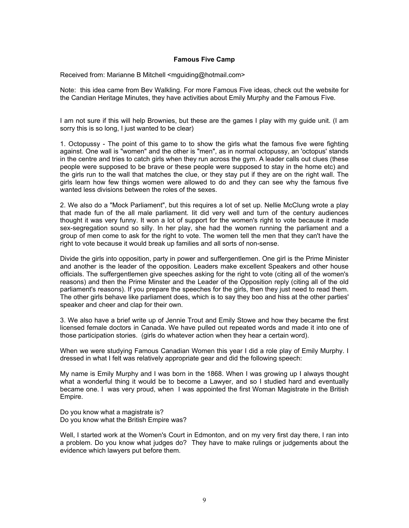## **Famous Five Camp**

Received from: Marianne B Mitchell <mquiding@hotmail.com>

Note: this idea came from Bev Walkling. For more Famous Five ideas, check out the website for the Candian Heritage Minutes, they have activities about Emily Murphy and the Famous Five.

I am not sure if this will help Brownies, but these are the games I play with my guide unit. (I am sorry this is so long, I just wanted to be clear)

1. Octopussy - The point of this game to to show the girls what the famous five were fighting against. One wall is "women" and the other is "men", as in normal octopussy, an 'octopus' stands in the centre and tries to catch girls when they run across the gym. A leader calls out clues (these people were supposed to be brave or these people were supposed to stay in the home etc) and the girls run to the wall that matches the clue, or they stay put if they are on the right wall. The girls learn how few things women were allowed to do and they can see why the famous five wanted less divisions between the roles of the sexes.

2. We also do a "Mock Parliament", but this requires a lot of set up. Nellie McClung wrote a play that made fun of the all male parliament. Iit did very well and turn of the century audiences thought it was very funny. It won a lot of support for the women's right to vote because it made sex-segregation sound so silly. In her play, she had the women running the parliament and a group of men come to ask for the right to vote. The women tell the men that they can't have the right to vote because it would break up families and all sorts of non-sense.

Divide the girls into opposition, party in power and suffergentlemen. One girl is the Prime Minister and another is the leader of the opposition. Leaders make excellent Speakers and other house officials. The suffergentlemen give speeches asking for the right to vote (citing all of the women's reasons) and then the Prime Minster and the Leader of the Opposition reply (citing all of the old parliament's reasons). If you prepare the speeches for the girls, then they just need to read them. The other girls behave like parliament does, which is to say they boo and hiss at the other parties' speaker and cheer and clap for their own.

3. We also have a brief write up of Jennie Trout and Emily Stowe and how they became the first licensed female doctors in Canada. We have pulled out repeated words and made it into one of those participation stories. (girls do whatever action when they hear a certain word).

When we were studying Famous Canadian Women this year I did a role play of Emily Murphy. I dressed in what I felt was relatively appropriate gear and did the following speech:

My name is Emily Murphy and I was born in the 1868. When I was growing up I always thought what a wonderful thing it would be to become a Lawyer, and so I studied hard and eventually became one. I was very proud, when I was appointed the first Woman Magistrate in the British Empire.

Do you know what a magistrate is? Do you know what the British Empire was?

Well, I started work at the Women's Court in Edmonton, and on my very first day there, I ran into a problem. Do you know what judges do? They have to make rulings or judgements about the evidence which lawyers put before them.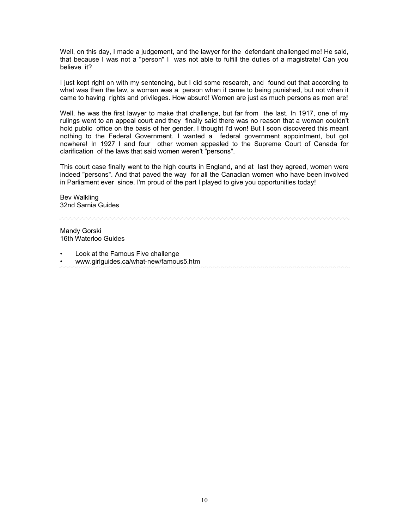Well, on this day, I made a judgement, and the lawyer for the defendant challenged me! He said, that because I was not a "person" I was not able to fulfill the duties of a magistrate! Can you believe it?

I just kept right on with my sentencing, but I did some research, and found out that according to what was then the law, a woman was a person when it came to being punished, but not when it came to having rights and privileges. How absurd! Women are just as much persons as men are!

Well, he was the first lawyer to make that challenge, but far from the last. In 1917, one of my rulings went to an appeal court and they finally said there was no reason that a woman couldn't hold public office on the basis of her gender. I thought I'd won! But I soon discovered this meant nothing to the Federal Government. I wanted a federal government appointment, but got nowhere! In 1927 I and four other women appealed to the Supreme Court of Canada for clarification of the laws that said women weren't "persons".

This court case finally went to the high courts in England, and at last they agreed, women were indeed "persons". And that paved the way for all the Canadian women who have been involved in Parliament ever since. I'm proud of the part I played to give you opportunities today!

Bev Walkling 32nd Sarnia Guides

Mandy Gorski 16th Waterloo Guides

- Look at the Famous Five challenge
- www.girlguides.ca/what-new/famous5.htm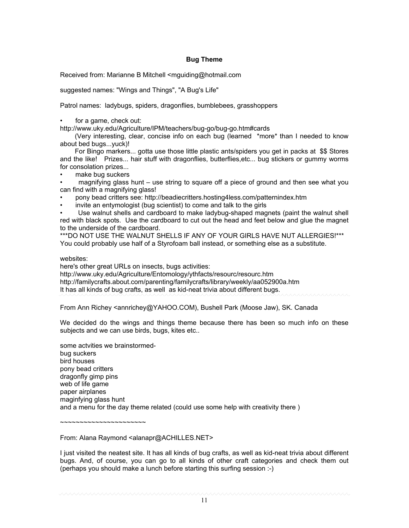## **Bug Theme**

Received from: Marianne B Mitchell <mguiding@hotmail.com

suggested names: "Wings and Things", "A Bug's Life"

Patrol names: ladybugs, spiders, dragonflies, bumblebees, grasshoppers

for a game, check out:

http://www.uky.edu/Agriculture/IPM/teachers/bug-go/bug-go.htm#cards

 (Very interesting, clear, concise info on each bug (learned \*more\* than I needed to know about bed bugs...yuck)!

 For Bingo markers... gotta use those little plastic ants/spiders you get in packs at \$\$ Stores and the like! Prizes... hair stuff with dragonflies, butterflies,etc... bug stickers or gummy worms for consolation prizes...

make bug suckers

• magnifying glass hunt – use string to square off a piece of ground and then see what you can find with a magnifying glass!

• pony bead critters see: http://beadiecritters.hosting4less.com/patternindex.htm

• invite an entymologist (bug scientist) to come and talk to the girls

• Use walnut shells and cardboard to make ladybug-shaped magnets (paint the walnut shell red with black spots. Use the cardboard to cut out the head and feet below and glue the magnet to the underside of the cardboard.

\*\*\*DO NOT USE THE WALNUT SHELLS IF ANY OF YOUR GIRLS HAVE NUT ALLERGIES!\*\*\* You could probably use half of a Styrofoam ball instead, or something else as a substitute.

websites:

here's other great URLs on insects, bugs activities:

http://www.uky.edu/Agriculture/Entomology/ythfacts/resourc/resourc.htm http://familycrafts.about.com/parenting/familycrafts/library/weekly/aa052900a.htm

It has all kinds of bug crafts, as well as kid-neat trivia about different bugs.

From Ann Richey <annrichey@YAHOO.COM), Bushell Park (Moose Jaw), SK. Canada

We decided do the wings and things theme because there has been so much info on these subjects and we can use birds, bugs, kites etc..

some actvities we brainstormedbug suckers bird houses pony bead critters dragonfly gimp pins web of life game paper airplanes maginfying glass hunt and a menu for the day theme related (could use some help with creativity there )

~~~~~~~~~~~~~~~~~~~~~~

From: Alana Raymond <alanapr@ACHILLES.NET>

I just visited the neatest site. It has all kinds of bug crafts, as well as kid-neat trivia about different bugs. And, of course, you can go to all kinds of other craft categories and check them out (perhaps you should make a lunch before starting this surfing session :-)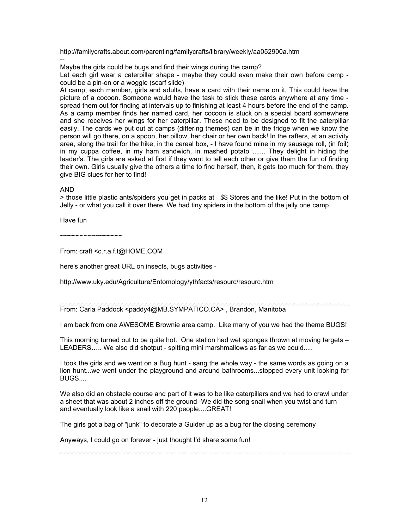http://familycrafts.about.com/parenting/familycrafts/library/weekly/aa052900a.htm

-- Maybe the girls could be bugs and find their wings during the camp?

Let each girl wear a caterpillar shape - maybe they could even make their own before camp could be a pin-on or a woggle (scarf slide)

At camp, each member, girls and adults, have a card with their name on it, This could have the picture of a cocoon. Someone would have the task to stick these cards anywhere at any time spread them out for finding at intervals up to finishing at least 4 hours before the end of the camp. As a camp member finds her named card, her cocoon is stuck on a special board somewhere and she receives her wings for her caterpillar. These need to be designed to fit the caterpillar easily. The cards we put out at camps (differing themes) can be in the fridge when we know the person will go there, on a spoon, her pillow, her chair or her own back! In the rafters, at an activity area, along the trail for the hike, in the cereal box, - I have found mine in my sausage roll, (in foil) in my cuppa coffee, in my ham sandwich, in mashed potato ....... They delight in hiding the leader's. The girls are asked at first if they want to tell each other or give them the fun of finding their own. Girls usually give the others a time to find herself, then, it gets too much for them, they give BIG clues for her to find!

## AND

> those little plastic ants/spiders you get in packs at \$\$ Stores and the like! Put in the bottom of Jelly - or what you call it over there. We had tiny spiders in the bottom of the jelly one camp.

Have fun

~~~~~~~~~~~~~~~~

From: craft <c.r.a.f.t@HOME.COM

here's another great URL on insects, bugs activities -

http://www.uky.edu/Agriculture/Entomology/ythfacts/resourc/resourc.htm

From: Carla Paddock <paddy4@MB.SYMPATICO.CA>, Brandon, Manitoba

I am back from one AWESOME Brownie area camp. Like many of you we had the theme BUGS!

This morning turned out to be quite hot. One station had wet sponges thrown at moving targets – LEADERS….. We also did shotput - spitting mini marshmallows as far as we could.....

I took the girls and we went on a Bug hunt - sang the whole way - the same words as going on a lion hunt...we went under the playground and around bathrooms...stopped every unit looking for BUGS....

We also did an obstacle course and part of it was to be like caterpillars and we had to crawl under a sheet that was about 2 inches off the ground -We did the song snail when you twist and turn and eventually look like a snail with 220 people....GREAT!

The girls got a bag of "junk" to decorate a Guider up as a bug for the closing ceremony

Anyways, I could go on forever - just thought I'd share some fun!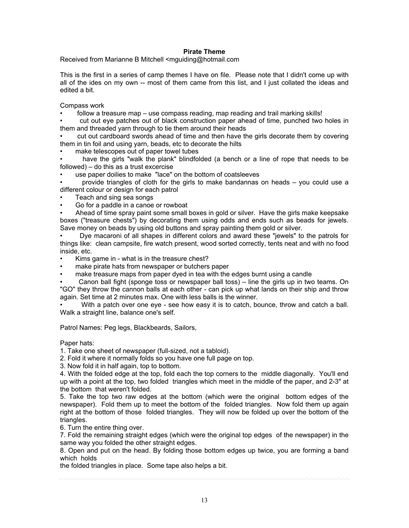## **Pirate Theme**

Received from Marianne B Mitchell <mguiding@hotmail.com

This is the first in a series of camp themes I have on file. Please note that I didn't come up with all of the ides on my own -- most of them came from this list, and I just collated the ideas and edited a bit.

Compass work

• follow a treasure map – use compass reading, map reading and trail marking skills!

• cut out eye patches out of black construction paper ahead of time, punched two holes in them and threaded yarn through to tie them around their heads

• cut out cardboard swords ahead of time and then have the girls decorate them by covering them in tin foil and using yarn, beads, etc to decorate the hilts

make telescopes out of paper towel tubes

• have the girls "walk the plank" blindfolded (a bench or a line of rope that needs to be followed) – do this as a trust excercise

• use paper doilies to make "lace" on the bottom of coatsleeves

• provide triangles of cloth for the girls to make bandannas on heads – you could use a different colour or design for each patrol

- Teach and sing sea songs
- Go for a paddle in a canoe or rowboat

• Ahead of time spray paint some small boxes in gold or silver. Have the girls make keepsake boxes ("treasure chests") by decorating them using odds and ends such as beads for jewels. Save money on beads by using old buttons and spray painting them gold or silver.

• Dye macaroni of all shapes in different colors and award these "jewels" to the patrols for things like: clean campsite, fire watch present, wood sorted correctly, tents neat and with no food inside, etc.

- Kims game in what is in the treasure chest?
- make pirate hats from newspaper or butchers paper
- make treasure maps from paper dyed in tea with the edges burnt using a candle

• Canon ball fight (sponge toss or newspaper ball toss) – line the girls up in two teams. On "GO" they throw the cannon balls at each other - can pick up what lands on their ship and throw again. Set time at 2 minutes max. One with less balls is the winner.

• With a patch over one eye - see how easy it is to catch, bounce, throw and catch a ball. Walk a straight line, balance one's self.

Patrol Names: Peg legs, Blackbeards, Sailors,

Paper hats:

1. Take one sheet of newspaper (full-sized, not a tabloid).

2. Fold it where it normally folds so you have one full page on top.

3. Now fold it in half again, top to bottom.

4. With the folded edge at the top, fold each the top corners to the middle diagonally. You'll end up with a point at the top, two folded triangles which meet in the middle of the paper, and 2-3" at the bottom that weren't folded.

5. Take the top two raw edges at the bottom (which were the original bottom edges of the newspaper). Fold them up to meet the bottom of the folded triangles. Now fold them up again right at the bottom of those folded triangles. They will now be folded up over the bottom of the triangles.

6. Turn the entire thing over.

7. Fold the remaining straight edges (which were the original top edges of the newspaper) in the same way you folded the other straight edges.

8. Open and put on the head. By folding those bottom edges up twice, you are forming a band which holds

the folded triangles in place. Some tape also helps a bit.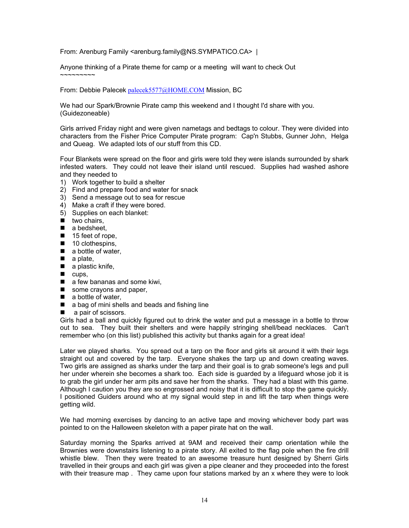## From: Arenburg Family <arenburg.family@NS.SYMPATICO.CA> |

Anyone thinking of a Pirate theme for camp or a meeting will want to check Out ~~~~~~~~~

From: Debbie Palecek palecek5577@HOME.COM Mission, BC

We had our Spark/Brownie Pirate camp this weekend and I thought I'd share with you. (Guidezoneable)

Girls arrived Friday night and were given nametags and bedtags to colour. They were divided into characters from the Fisher Price Computer Pirate program: Cap'n Stubbs, Gunner John, Helga and Queag. We adapted lots of our stuff from this CD.

Four Blankets were spread on the floor and girls were told they were islands surrounded by shark infested waters. They could not leave their island until rescued. Supplies had washed ashore and they needed to

- 1) Work together to build a shelter
- 2) Find and prepare food and water for snack
- 3) Send a message out to sea for rescue
- 4) Make a craft if they were bored.
- 5) Supplies on each blanket:
- $\blacksquare$  two chairs,
- a bedsheet.
- 15 feet of rope,
- 10 clothespins,
- $\blacksquare$  a bottle of water,
- $\blacksquare$  a plate,
- $\blacksquare$  a plastic knife,
- $\Box$  cups.
- $\blacksquare$  a few bananas and some kiwi,
- some crayons and paper,
- $\blacksquare$  a bottle of water,
- a bag of mini shells and beads and fishing line
- **a** pair of scissors.

Girls had a ball and quickly figured out to drink the water and put a message in a bottle to throw out to sea. They built their shelters and were happily stringing shell/bead necklaces. Can't remember who (on this list) published this activity but thanks again for a great idea!

Later we played sharks. You spread out a tarp on the floor and girls sit around it with their legs straight out and covered by the tarp. Everyone shakes the tarp up and down creating waves. Two girls are assigned as sharks under the tarp and their goal is to grab someone's legs and pull her under wherein she becomes a shark too. Each side is guarded by a lifeguard whose job it is to grab the girl under her arm pits and save her from the sharks. They had a blast with this game. Although I caution you they are so engrossed and noisy that it is difficult to stop the game quickly. I positioned Guiders around who at my signal would step in and lift the tarp when things were getting wild.

We had morning exercises by dancing to an active tape and moving whichever body part was pointed to on the Halloween skeleton with a paper pirate hat on the wall.

Saturday morning the Sparks arrived at 9AM and received their camp orientation while the Brownies were downstairs listening to a pirate story. All exited to the flag pole when the fire drill whistle blew. Then they were treated to an awesome treasure hunt designed by Sherri Girls travelled in their groups and each girl was given a pipe cleaner and they proceeded into the forest with their treasure map. They came upon four stations marked by an x where they were to look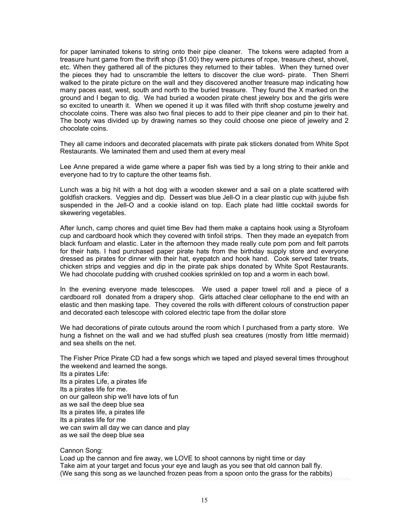for paper laminated tokens to string onto their pipe cleaner. The tokens were adapted from a treasure hunt game from the thrift shop (\$1.00) they were pictures of rope, treasure chest, shovel, etc. When they gathered all of the pictures they returned to their tables. When they turned over the pieces they had to unscramble the letters to discover the clue word- pirate. Then Sherri walked to the pirate picture on the wall and they discovered another treasure map indicating how many paces east, west, south and north to the buried treasure. They found the X marked on the ground and I began to dig. We had buried a wooden pirate chest jewelry box and the girls were so excited to unearth it. When we opened it up it was filled with thrift shop costume jewelry and chocolate coins. There was also two final pieces to add to their pipe cleaner and pin to their hat. The booty was divided up by drawing names so they could choose one piece of jewelry and 2 chocolate coins.

They all came indoors and decorated placemats with pirate pak stickers donated from White Spot Restaurants. We laminated them and used them at every meal

Lee Anne prepared a wide game where a paper fish was tied by a long string to their ankle and everyone had to try to capture the other teams fish.

Lunch was a big hit with a hot dog with a wooden skewer and a sail on a plate scattered with goldfish crackers. Veggies and dip. Dessert was blue Jell-O in a clear plastic cup with jujube fish suspended in the Jell-O and a cookie island on top. Each plate had little cocktail swords for skewering vegetables.

After lunch, camp chores and quiet time Bev had them make a captains hook using a Styrofoam cup and cardboard hook which they covered with tinfoil strips. Then they made an eyepatch from black funfoam and elastic. Later in the afternoon they made really cute pom pom and felt parrots for their hats. I had purchased paper pirate hats from the birthday supply store and everyone dressed as pirates for dinner with their hat, eyepatch and hook hand. Cook served tater treats, chicken strips and veggies and dip in the pirate pak ships donated by White Spot Restaurants. We had chocolate pudding with crushed cookies sprinkled on top and a worm in each bowl.

In the evening everyone made telescopes. We used a paper towel roll and a piece of a cardboard roll donated from a drapery shop. Girls attached clear cellophane to the end with an elastic and then masking tape. They covered the rolls with different colours of construction paper and decorated each telescope with colored electric tape from the dollar store

We had decorations of pirate cutouts around the room which I purchased from a party store. We hung a fishnet on the wall and we had stuffed plush sea creatures (mostly from little mermaid) and sea shells on the net.

The Fisher Price Pirate CD had a few songs which we taped and played several times throughout the weekend and learned the songs. Its a pirates Life: Its a pirates Life, a pirates life Its a pirates life for me. on our galleon ship we'll have lots of fun as we sail the deep blue sea Its a pirates life, a pirates life Its a pirates life for me we can swim all day we can dance and play as we sail the deep blue sea

## Cannon Song:

Load up the cannon and fire away, we LOVE to shoot cannons by night time or day Take aim at your target and focus your eye and laugh as you see that old cannon ball fly. (We sang this song as we launched frozen peas from a spoon onto the grass for the rabbits)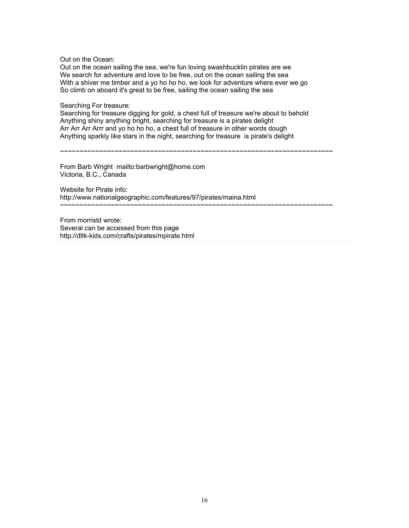Out on the Ocean:

Out on the ocean sailing the sea, we're fun loving swashbucklin pirates are we We search for adventure and love to be free, out on the ocean sailing the sea With a shiver me timber and a yo ho ho ho, we look for adventure where ever we go So climb on aboard it's great to be free, sailing the ocean sailing the sea

Searching For treasure:

Searching for treasure digging for gold, a chest full of treasure we're about to behold Anything shiny anything bright, searching for treasure is a pirates delight Arr Arr Arr Arrr and yo ho ho ho, a chest full of treasure in other words dough Anything sparkly like stars in the night, searching for treasure is pirate's delight

~~~~~~~~~~~~~~~~~~~~~~~~~~~~~~~~~~~~~~~~~~~~~~~~~~~~~~~~~~~~~~~~~~~~~~

From Barb Wright mailto:barbwright@home.com Victoria, B.C., Canada

Website for Pirate info: http://www.nationalgeographic.com/features/97/pirates/maina.html ~~~~~~~~~~~~~~~~~~~~~~~~~~~~~~~~~~~~~~~~~~~~~~~~~~~~~~~~~~~~~~~~~~~~~~

From morristd wrote: Several can be accessed from this page http://dltk-kids.com/crafts/pirates/mpirate.html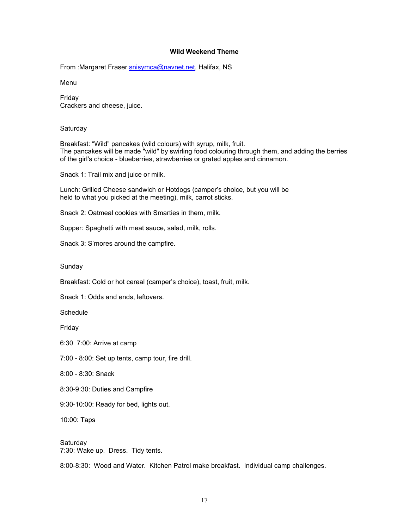#### **Wild Weekend Theme**

From :Margaret Fraser snisymca@navnet.net, Halifax, NS

Menu

Friday Crackers and cheese, juice.

#### **Saturday**

Breakfast: "Wild" pancakes (wild colours) with syrup, milk, fruit. The pancakes will be made "wild" by swirling food colouring through them, and adding the berries of the girl's choice - blueberries, strawberries or grated apples and cinnamon.

Snack 1: Trail mix and juice or milk.

Lunch: Grilled Cheese sandwich or Hotdogs (camper's choice, but you will be held to what you picked at the meeting), milk, carrot sticks.

Snack 2: Oatmeal cookies with Smarties in them, milk.

Supper: Spaghetti with meat sauce, salad, milk, rolls.

Snack 3: S'mores around the campfire.

Sunday

Breakfast: Cold or hot cereal (camper's choice), toast, fruit, milk.

Snack 1: Odds and ends, leftovers.

**Schedule** 

Friday

6:30 7:00: Arrive at camp

7:00 - 8:00: Set up tents, camp tour, fire drill.

8:00 - 8:30: Snack

8:30-9:30: Duties and Campfire

9:30-10:00: Ready for bed, lights out.

10:00: Taps

**Saturday** 7:30: Wake up. Dress. Tidy tents.

8:00-8:30: Wood and Water. Kitchen Patrol make breakfast. Individual camp challenges.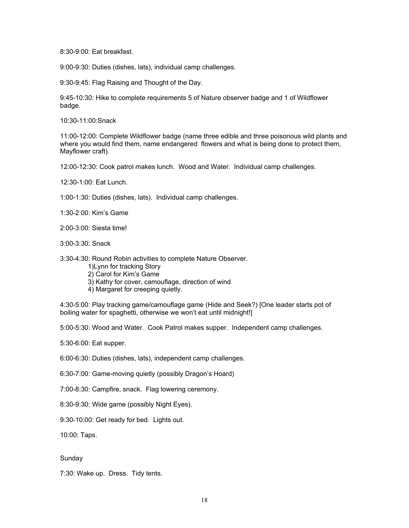8:30-9:00: Eat breakfast.

9:00-9:30: Duties (dishes, lats), individual camp challenges.

9:30-9:45: Flag Raising and Thought of the Day.

9:45-10:30: Hike to complete requirements 5 of Nature observer badge and 1 of Wildflower badge.

10:30-11:00:Snack

11:00-12:00: Complete Wildflower badge (name three edible and three poisonous wild plants and where you would find them, name endangered flowers and what is being done to protect them, Mayflower craft).

12:00-12:30: Cook patrol makes lunch. Wood and Water. Individual camp challenges.

12:30-1:00: Eat Lunch.

1:00-1:30: Duties (dishes, lats). Individual camp challenges.

1:30-2:00: Kim's Game

2:00-3:00: Siesta time!

3:00-3:30: Snack

3:30-4:30: Round Robin activities to complete Nature Observer.

- 1)Lynn for tracking Story
- 2) Carol for Kim's Game
- 3) Kathy for cover, camouflage, direction of wind
- 4) Margaret for creeping quietly.

4:30-5:00: Play tracking game/camouflage game (Hide and Seek?) [One leader starts pot of boiling water for spaghetti, otherwise we won't eat until midnight!]

5:00-5:30: Wood and Water. Cook Patrol makes supper. Independent camp challenges.

5:30-6:00: Eat supper.

6:00-6:30: Duties (dishes, lats), independent camp challenges.

6:30-7:00: Game-moving quietly (possibly Dragon's Hoard)

7:00-8:30: Campfire, snack. Flag lowering ceremony.

8:30-9:30: Wide game (possibly Night Eyes).

9:30-10:00: Get ready for bed. Lights out.

10:00: Taps.

Sunday

7:30: Wake up. Dress. Tidy tents.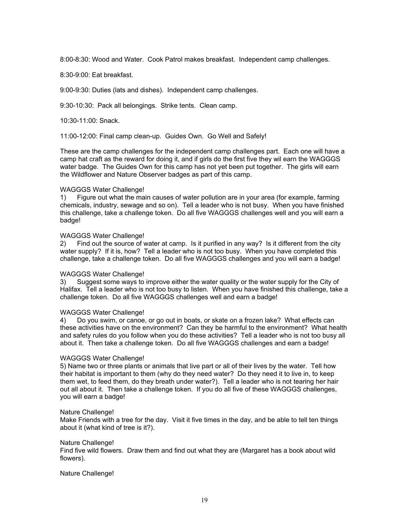8:00-8:30: Wood and Water. Cook Patrol makes breakfast. Independent camp challenges.

8:30-9:00: Eat breakfast.

9:00-9:30: Duties (lats and dishes). Independent camp challenges.

9:30-10:30: Pack all belongings. Strike tents. Clean camp.

10:30-11:00: Snack.

11:00-12:00: Final camp clean-up. Guides Own. Go Well and Safely!

These are the camp challenges for the independent camp challenges part. Each one will have a camp hat craft as the reward for doing it, and if girls do the first five they wil earn the WAGGGS water badge. The Guides Own for this camp has not yet been put together. The girls will earn the Wildflower and Nature Observer badges as part of this camp.

#### WAGGGS Water Challenge!

1) Figure out what the main causes of water pollution are in your area (for example, farming chemicals, industry, sewage and so on). Tell a leader who is not busy. When you have finished this challenge, take a challenge token. Do all five WAGGGS challenges well and you will earn a badge!

#### WAGGGS Water Challenge!

2) Find out the source of water at camp. Is it purified in any way? Is it different from the city water supply? If it is, how? Tell a leader who is not too busy. When you have completed this challenge, take a challenge token. Do all five WAGGGS challenges and you will earn a badge!

## WAGGGS Water Challenge!

3) Suggest some ways to improve either the water quality or the water supply for the City of Halifax. Tell a leader who is not too busy to listen. When you have finished this challenge, take a challenge token. Do all five WAGGGS challenges well and earn a badge!

## WAGGGS Water Challenge!

4) Do you swim, or canoe, or go out in boats, or skate on a frozen lake? What effects can these activities have on the environment? Can they be harmful to the environment? What health and safety rules do you follow when you do these activities? Tell a leader who is not too busy all about it. Then take a challenge token. Do all five WAGGGS challenges and earn a badge!

## WAGGGS Water Challenge!

5) Name two or three plants or animals that live part or all of their lives by the water. Tell how their habitat is important to them (why do they need water? Do they need it to live in, to keep them wet, to feed them, do they breath under water?). Tell a leader who is not tearing her hair out all about it. Then take a challenge token. If you do all five of these WAGGGS challenges, you will earn a badge!

#### Nature Challenge!

Make Friends with a tree for the day. Visit it five times in the day, and be able to tell ten things about it (what kind of tree is it?).

#### Nature Challenge!

Find five wild flowers. Draw them and find out what they are (Margaret has a book about wild flowers).

Nature Challenge!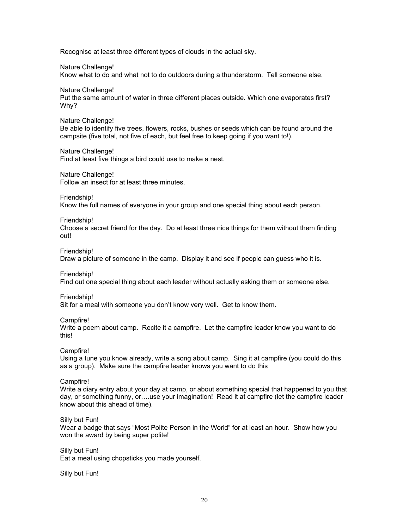Recognise at least three different types of clouds in the actual sky.

#### Nature Challenge!

Know what to do and what not to do outdoors during a thunderstorm. Tell someone else.

#### Nature Challenge!

Put the same amount of water in three different places outside. Which one evaporates first? Why?

#### Nature Challenge!

Be able to identify five trees, flowers, rocks, bushes or seeds which can be found around the campsite (five total, not five of each, but feel free to keep going if you want to!).

#### Nature Challenge!

Find at least five things a bird could use to make a nest.

## Nature Challenge!

Follow an insect for at least three minutes.

## Friendship!

Know the full names of everyone in your group and one special thing about each person.

## Friendship!

Choose a secret friend for the day. Do at least three nice things for them without them finding out!

#### Friendship!

Draw a picture of someone in the camp. Display it and see if people can guess who it is.

## Friendship!

Find out one special thing about each leader without actually asking them or someone else.

## Friendship!

Sit for a meal with someone you don't know very well. Get to know them.

## Campfire!

Write a poem about camp. Recite it a campfire. Let the campfire leader know you want to do this!

## Campfire!

Using a tune you know already, write a song about camp. Sing it at campfire (you could do this as a group). Make sure the campfire leader knows you want to do this

## Campfire!

Write a diary entry about your day at camp, or about something special that happened to you that day, or something funny, or….use your imagination! Read it at campfire (let the campfire leader know about this ahead of time).

## Silly but Fun!

Wear a badge that says "Most Polite Person in the World" for at least an hour. Show how you won the award by being super polite!

#### Silly but Fun!

Eat a meal using chopsticks you made yourself.

## Silly but Fun!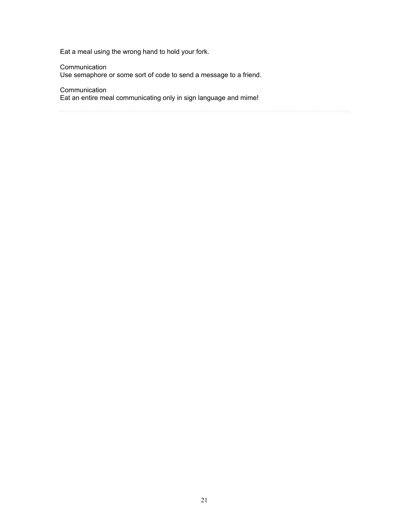Eat a meal using the wrong hand to hold your fork.

Communication

Use semaphore or some sort of code to send a message to a friend.

Communication

Eat an entire meal communicating only in sign language and mime!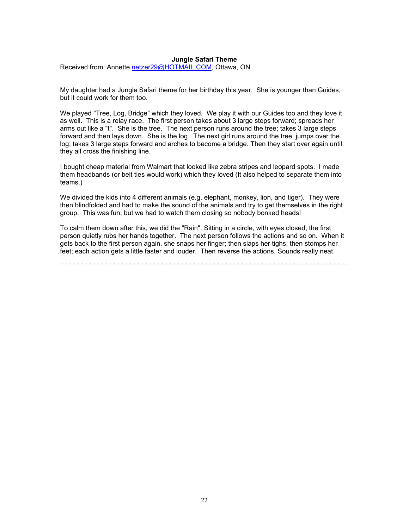#### **Jungle Safari Theme**

Received from: Annette netzer29@HOTMAIL.COM, Ottawa, ON

My daughter had a Jungle Safari theme for her birthday this year. She is younger than Guides, but it could work for them too.

We played "Tree, Log, Bridge" which they loved. We play it with our Guides too and they love it as well. This is a relay race. The first person takes about 3 large steps forward; spreads her arms out like a "t". She is the tree. The next person runs around the tree; takes 3 large steps forward and then lays down. She is the log. The next girl runs around the tree, jumps over the log; takes 3 large steps forward and arches to become a bridge. Then they start over again until they all cross the finishing line.

I bought cheap material from Walmart that looked like zebra stripes and leopard spots. I made them headbands (or belt ties would work) which they loved (It also helped to separate them into teams.)

We divided the kids into 4 different animals (e.g. elephant, monkey, lion, and tiger). They were then blindfolded and had to make the sound of the animals and try to get themselves in the right group. This was fun, but we had to watch them closing so nobody bonked heads!

To calm them down after this, we did the "Rain". Sitting in a circle, with eyes closed, the first person quietly rubs her hands together. The next person follows the actions and so on. When it gets back to the first person again, she snaps her finger; then slaps her tighs; then stomps her feet; each action gets a little faster and louder. Then reverse the actions. Sounds really neat.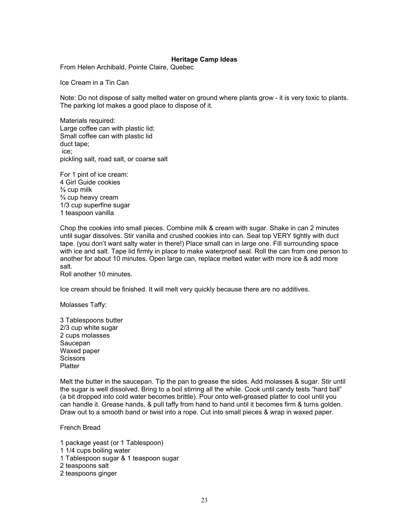## **Heritage Camp Ideas**

From Helen Archibald, Pointe Claire, Quebec

Ice Cream in a Tin Can

Note: Do not dispose of salty melted water on ground where plants grow - it is very toxic to plants. The parking lot makes a good place to dispose of it.

Materials required: Large coffee can with plastic lid; Small coffee can with plastic lid duct tape; ice; pickling salt, road salt, or coarse salt

For 1 pint of ice cream: 4 Girl Guide cookies ¾ cup milk ¾ cup heavy cream 1/3 cup superfine sugar 1 teaspoon vanilla

Chop the cookies into small pieces. Combine milk & cream with sugar. Shake in can 2 minutes until sugar dissolves. Stir vanilla and crushed cookies into can. Seal top VERY tightly with duct tape. (you don't want salty water in there!) Place small can in large one. Fill surrounding space with ice and salt. Tape lid firmly in place to make waterproof seal. Roll the can from one person to another for about 10 minutes. Open large can, replace melted water with more ice & add more salt.

Roll another 10 minutes.

Ice cream should be finished. It will melt very quickly because there are no additives.

Molasses Taffy:

3 Tablespoons butter 2/3 cup white sugar 2 cups molasses Saucepan Waxed paper **Scissors Platter** 

Melt the butter in the saucepan. Tip the pan to grease the sides. Add molasses & sugar. Stir until the sugar is well dissolved. Bring to a boil stirring all the while. Cook until candy tests "hard ball" (a bit dropped into cold water becomes brittle). Pour onto well-greased platter to cool until you can handle it. Grease hands, & pull taffy from hand to hand until it becomes firm & turns golden. Draw out to a smooth band or twist into a rope. Cut into small pieces & wrap in waxed paper.

French Bread

- 1 package yeast (or 1 Tablespoon) 1 1/4 cups boiling water 1 Tablespoon sugar & 1 teaspoon sugar
- 2 teaspoons salt
- 
- 2 teaspoons ginger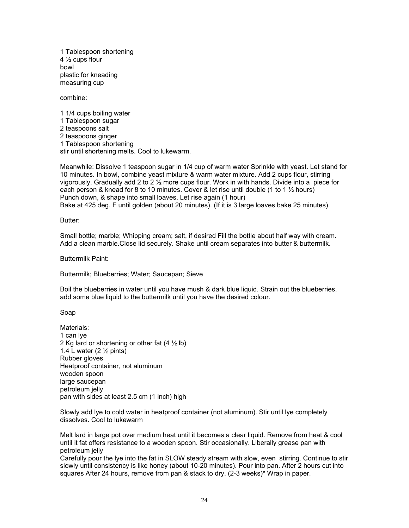1 Tablespoon shortening 4 ½ cups flour bowl plastic for kneading measuring cup

combine:

1 1/4 cups boiling water 1 Tablespoon sugar 2 teaspoons salt 2 teaspoons ginger 1 Tablespoon shortening stir until shortening melts. Cool to lukewarm.

Meanwhile: Dissolve 1 teaspoon sugar in 1/4 cup of warm water Sprinkle with yeast. Let stand for 10 minutes. In bowl, combine yeast mixture & warm water mixture. Add 2 cups flour, stirring vigorously. Gradually add 2 to 2 ½ more cups flour. Work in with hands. Divide into a piece for each person & knead for 8 to 10 minutes. Cover & let rise until double (1 to 1 ½ hours) Punch down, & shape into small loaves. Let rise again (1 hour) Bake at 425 deg. F until golden (about 20 minutes). (If it is 3 large loaves bake 25 minutes).

Butter:

Small bottle; marble; Whipping cream; salt, if desired Fill the bottle about half way with cream. Add a clean marble.Close lid securely. Shake until cream separates into butter & buttermilk.

Buttermilk Paint:

Buttermilk; Blueberries; Water; Saucepan; Sieve

Boil the blueberries in water until you have mush & dark blue liquid. Strain out the blueberries, add some blue liquid to the buttermilk until you have the desired colour.

Soap

Materials: 1 can lye 2 Kg lard or shortening or other fat  $(4 \frac{1}{2} \text{ lb})$ 1.4 L water  $(2 \frac{1}{2})$  pints) Rubber gloves Heatproof container, not aluminum wooden spoon large saucepan petroleum jelly pan with sides at least 2.5 cm (1 inch) high

Slowly add lye to cold water in heatproof container (not aluminum). Stir until lye completely dissolves. Cool to lukewarm

Melt lard in large pot over medium heat until it becomes a clear liquid. Remove from heat & cool until it fat offers resistance to a wooden spoon. Stir occasionally. Liberally grease pan with petroleum jelly

Carefully pour the lye into the fat in SLOW steady stream with slow, even stirring. Continue to stir slowly until consistency is like honey (about 10-20 minutes). Pour into pan. After 2 hours cut into squares After 24 hours, remove from pan & stack to dry. (2-3 weeks)\* Wrap in paper.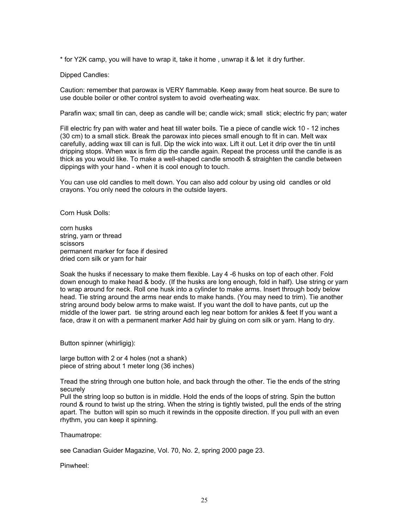\* for Y2K camp, you will have to wrap it, take it home , unwrap it & let it dry further.

#### Dipped Candles:

Caution: remember that parowax is VERY flammable. Keep away from heat source. Be sure to use double boiler or other control system to avoid overheating wax.

Parafin wax; small tin can, deep as candle will be; candle wick; small stick; electric fry pan; water

Fill electric fry pan with water and heat till water boils. Tie a piece of candle wick 10 - 12 inches (30 cm) to a small stick. Break the parowax into pieces small enough to fit in can. Melt wax carefully, adding wax till can is full. Dip the wick into wax. Lift it out. Let it drip over the tin until dripping stops. When wax is firm dip the candle again. Repeat the process until the candle is as thick as you would like. To make a well-shaped candle smooth & straighten the candle between dippings with your hand - when it is cool enough to touch.

You can use old candles to melt down. You can also add colour by using old candles or old crayons. You only need the colours in the outside layers.

Corn Husk Dolls:

corn husks string, yarn or thread scissors permanent marker for face if desired dried corn silk or yarn for hair

Soak the husks if necessary to make them flexible. Lay 4 -6 husks on top of each other. Fold down enough to make head & body. (If the husks are long enough, fold in half). Use string or yarn to wrap around for neck. Roll one husk into a cylinder to make arms. Insert through body below head. Tie string around the arms near ends to make hands. (You may need to trim). Tie another string around body below arms to make waist. If you want the doll to have pants, cut up the middle of the lower part. tie string around each leg near bottom for ankles & feet If you want a face, draw it on with a permanent marker Add hair by gluing on corn silk or yarn. Hang to dry.

Button spinner (whirligig):

large button with 2 or 4 holes (not a shank) piece of string about 1 meter long (36 inches)

Tread the string through one button hole, and back through the other. Tie the ends of the string securely

Pull the string loop so button is in middle. Hold the ends of the loops of string. Spin the button round & round to twist up the string. When the string is tightly twisted, pull the ends of the string apart. The button will spin so much it rewinds in the opposite direction. If you pull with an even rhythm, you can keep it spinning.

Thaumatrope:

see Canadian Guider Magazine, Vol. 70, No. 2, spring 2000 page 23.

Pinwheel: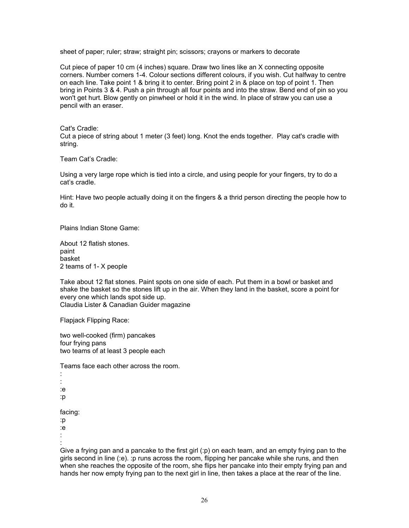sheet of paper; ruler; straw; straight pin; scissors; crayons or markers to decorate

Cut piece of paper 10 cm (4 inches) square. Draw two lines like an X connecting opposite corners. Number corners 1-4. Colour sections different colours, if you wish. Cut halfway to centre on each line. Take point 1 & bring it to center. Bring point 2 in & place on top of point 1. Then bring in Points 3 & 4. Push a pin through all four points and into the straw. Bend end of pin so you won't get hurt. Blow gently on pinwheel or hold it in the wind. In place of straw you can use a pencil with an eraser.

#### Cat's Cradle:

Cut a piece of string about 1 meter (3 feet) long. Knot the ends together. Play cat's cradle with string.

Team Cat's Cradle:

Using a very large rope which is tied into a circle, and using people for your fingers, try to do a cat's cradle.

Hint: Have two people actually doing it on the fingers & a thrid person directing the people how to do it.

Plains Indian Stone Game:

About 12 flatish stones. paint basket 2 teams of 1- X people

Take about 12 flat stones. Paint spots on one side of each. Put them in a bowl or basket and shake the basket so the stones lift up in the air. When they land in the basket, score a point for every one which lands spot side up. Claudia Lister & Canadian Guider magazine

Flapjack Flipping Race:

two well-cooked (firm) pancakes four frying pans two teams of at least 3 people each

Teams face each other across the room.

```
: 
: 
:e 
:p 
facing: 
:p 
:e 
:
```
:

Give a frying pan and a pancake to the first girl (:p) on each team, and an empty frying pan to the girls second in line (:e). :p runs across the room, flipping her pancake while she runs, and then when she reaches the opposite of the room, she flips her pancake into their empty frying pan and hands her now empty frying pan to the next girl in line, then takes a place at the rear of the line.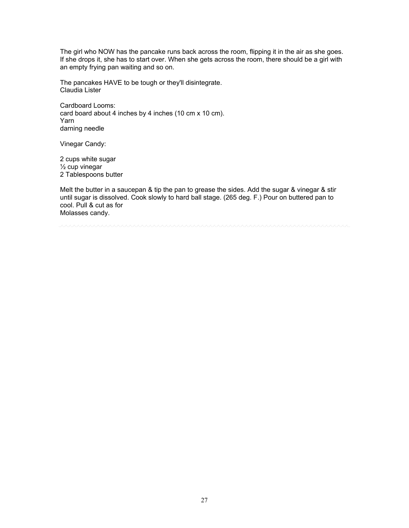The girl who NOW has the pancake runs back across the room, flipping it in the air as she goes. If she drops it, she has to start over. When she gets across the room, there should be a girl with an empty frying pan waiting and so on.

The pancakes HAVE to be tough or they'll disintegrate. Claudia Lister

Cardboard Looms: card board about 4 inches by 4 inches (10 cm x 10 cm). Yarn darning needle

Vinegar Candy:

2 cups white sugar  $\frac{1}{2}$  cup vinegar 2 Tablespoons butter

Melt the butter in a saucepan & tip the pan to grease the sides. Add the sugar & vinegar & stir until sugar is dissolved. Cook slowly to hard ball stage. (265 deg. F.) Pour on buttered pan to cool. Pull & cut as for Molasses candy.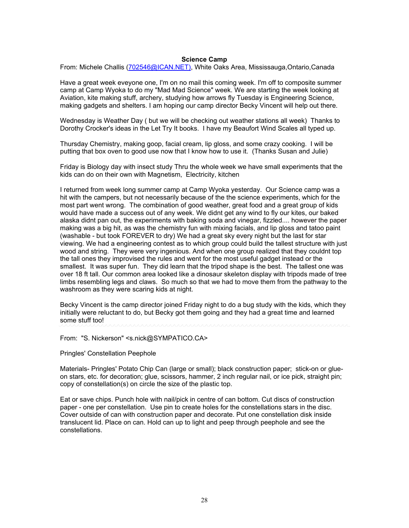#### **Science Camp**

From: Michele Challis (702546@ICAN.NET), White Oaks Area, Mississauga,Ontario,Canada

Have a great week eveyone one, I'm on no mail this coming week. I'm off to composite summer camp at Camp Wyoka to do my "Mad Mad Science" week. We are starting the week looking at Aviation, kite making stuff, archery, studying how arrows fly Tuesday is Engineering Science, making gadgets and shelters. I am hoping our camp director Becky Vincent will help out there.

Wednesday is Weather Day ( but we will be checking out weather stations all week) Thanks to Dorothy Crocker's ideas in the Let Try It books. I have my Beaufort Wind Scales all typed up.

Thursday Chemistry, making goop, facial cream, lip gloss, and some crazy cooking. I will be putting that box oven to good use now that I know how to use it. (Thanks Susan and Julie)

Friday is Biology day with insect study Thru the whole week we have small experiments that the kids can do on their own with Magnetism, Electricity, kitchen

I returned from week long summer camp at Camp Wyoka yesterday. Our Science camp was a hit with the campers, but not necessarily because of the the science experiments, which for the most part went wrong. The combination of good weather, great food and a great group of kids would have made a success out of any week. We didnt get any wind to fly our kites, our baked alaska didnt pan out, the experiments with baking soda and vinegar, fizzled.... however the paper making was a big hit, as was the chemistry fun with mixing facials, and lip gloss and tatoo paint (washable - but took FOREVER to dry) We had a great sky every night but the last for star viewing. We had a engineering contest as to which group could build the tallest structure with just wood and string. They were very ingenious. And when one group realized that they couldnt top the tall ones they improvised the rules and went for the most useful gadget instead or the smallest. It was super fun. They did learn that the tripod shape is the best. The tallest one was over 18 ft tall. Our common area looked like a dinosaur skeleton display with tripods made of tree limbs resembling legs and claws. So much so that we had to move them from the pathway to the washroom as they were scaring kids at night.

Becky Vincent is the camp director joined Friday night to do a bug study with the kids, which they initially were reluctant to do, but Becky got them going and they had a great time and learned some stuff too!

From: "S. Nickerson" <s.nick@SYMPATICO.CA>

Pringles' Constellation Peephole

Materials- Pringles' Potato Chip Can (large or small); black construction paper; stick-on or glueon stars, etc. for decoration; glue, scissors, hammer, 2 inch regular nail, or ice pick, straight pin; copy of constellation(s) on circle the size of the plastic top.

Eat or save chips. Punch hole with nail/pick in centre of can bottom. Cut discs of construction paper - one per constellation. Use pin to create holes for the constellations stars in the disc. Cover outside of can with construction paper and decorate. Put one constellation disk inside translucent lid. Place on can. Hold can up to light and peep through peephole and see the constellations.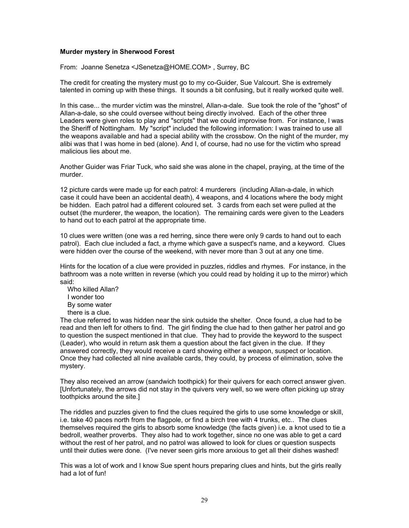## **Murder mystery in Sherwood Forest**

From: Joanne Senetza <JSenetza@HOME.COM> , Surrey, BC

The credit for creating the mystery must go to my co-Guider, Sue Valcourt. She is extremely talented in coming up with these things. It sounds a bit confusing, but it really worked quite well.

In this case... the murder victim was the minstrel, Allan-a-dale. Sue took the role of the "ghost" of Allan-a-dale, so she could oversee without being directly involved. Each of the other three Leaders were given roles to play and "scripts" that we could improvise from. For instance, I was the Sheriff of Nottingham. My "script" included the following information: I was trained to use all the weapons available and had a special ability with the crossbow. On the night of the murder, my alibi was that I was home in bed (alone). And I, of course, had no use for the victim who spread malicious lies about me.

Another Guider was Friar Tuck, who said she was alone in the chapel, praying, at the time of the murder.

12 picture cards were made up for each patrol: 4 murderers (including Allan-a-dale, in which case it could have been an accidental death), 4 weapons, and 4 locations where the body might be hidden. Each patrol had a different coloured set. 3 cards from each set were pulled at the outset (the murderer, the weapon, the location). The remaining cards were given to the Leaders to hand out to each patrol at the appropriate time.

10 clues were written (one was a red herring, since there were only 9 cards to hand out to each patrol). Each clue included a fact, a rhyme which gave a suspect's name, and a keyword. Clues were hidden over the course of the weekend, with never more than 3 out at any one time.

Hints for the location of a clue were provided in puzzles, riddles and rhymes. For instance, in the bathroom was a note written in reverse (which you could read by holding it up to the mirror) which said:

 Who killed Allan? I wonder too By some water there is a clue.

The clue referred to was hidden near the sink outside the shelter. Once found, a clue had to be read and then left for others to find. The girl finding the clue had to then gather her patrol and go to question the suspect mentioned in that clue. They had to provide the keyword to the suspect (Leader), who would in return ask them a question about the fact given in the clue. If they answered correctly, they would receive a card showing either a weapon, suspect or location. Once they had collected all nine available cards, they could, by process of elimination, solve the mystery.

They also received an arrow (sandwich toothpick) for their quivers for each correct answer given. [Unfortunately, the arrows did not stay in the quivers very well, so we were often picking up stray toothpicks around the site.]

The riddles and puzzles given to find the clues required the girls to use some knowledge or skill, i.e. take 40 paces north from the flagpole, or find a birch tree with 4 trunks, etc.. The clues themselves required the girls to absorb some knowledge (the facts given) i.e. a knot used to tie a bedroll, weather proverbs. They also had to work together, since no one was able to get a card without the rest of her patrol, and no patrol was allowed to look for clues or question suspects until their duties were done. (I've never seen girls more anxious to get all their dishes washed!

This was a lot of work and I know Sue spent hours preparing clues and hints, but the girls really had a lot of fun!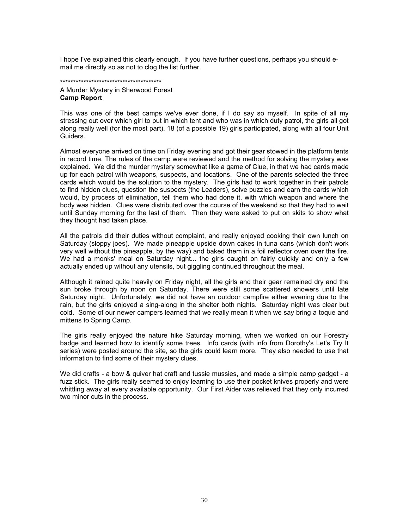I hope I've explained this clearly enough. If you have further questions, perhaps you should email me directly so as not to clog the list further.

#### \*\*\*\*\*\*\*\*\*\*\*\*\*\*\*\*\*\*\*\*\*\*\*\*\*\*\*\*\*\*\*\*\*\*\*\*\*\*\*

A Murder Mystery in Sherwood Forest **Camp Report** 

This was one of the best camps we've ever done, if I do say so myself. In spite of all my stressing out over which girl to put in which tent and who was in which duty patrol, the girls all got along really well (for the most part). 18 (of a possible 19) girls participated, along with all four Unit Guiders.

Almost everyone arrived on time on Friday evening and got their gear stowed in the platform tents in record time. The rules of the camp were reviewed and the method for solving the mystery was explained. We did the murder mystery somewhat like a game of Clue, in that we had cards made up for each patrol with weapons, suspects, and locations. One of the parents selected the three cards which would be the solution to the mystery. The girls had to work together in their patrols to find hidden clues, question the suspects (the Leaders), solve puzzles and earn the cards which would, by process of elimination, tell them who had done it, with which weapon and where the body was hidden. Clues were distributed over the course of the weekend so that they had to wait until Sunday morning for the last of them. Then they were asked to put on skits to show what they thought had taken place.

All the patrols did their duties without complaint, and really enjoyed cooking their own lunch on Saturday (sloppy joes). We made pineapple upside down cakes in tuna cans (which don't work very well without the pineapple, by the way) and baked them in a foil reflector oven over the fire. We had a monks' meal on Saturday night... the girls caught on fairly quickly and only a few actually ended up without any utensils, but giggling continued throughout the meal.

Although it rained quite heavily on Friday night, all the girls and their gear remained dry and the sun broke through by noon on Saturday. There were still some scattered showers until late Saturday night. Unfortunately, we did not have an outdoor campfire either evening due to the rain, but the girls enjoyed a sing-along in the shelter both nights. Saturday night was clear but cold. Some of our newer campers learned that we really mean it when we say bring a toque and mittens to Spring Camp.

The girls really enjoyed the nature hike Saturday morning, when we worked on our Forestry badge and learned how to identify some trees. Info cards (with info from Dorothy's Let's Try It series) were posted around the site, so the girls could learn more. They also needed to use that information to find some of their mystery clues.

We did crafts - a bow & quiver hat craft and tussie mussies, and made a simple camp gadget - a fuzz stick. The girls really seemed to enjoy learning to use their pocket knives properly and were whittling away at every available opportunity. Our First Aider was relieved that they only incurred two minor cuts in the process.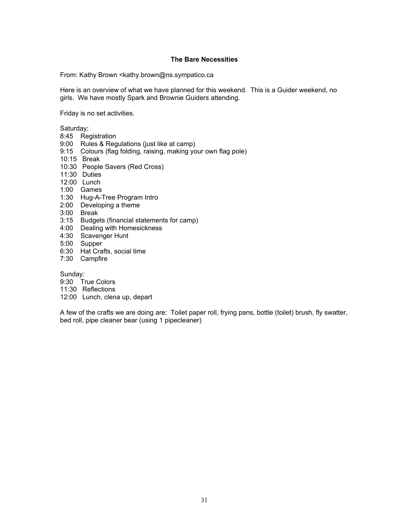## **The Bare Necessities**

From: Kathy Brown <kathy.brown@ns.sympatico.ca

Here is an overview of what we have planned for this weekend. This is a Guider weekend, no girls. We have mostly Spark and Brownie Guiders attending.

Friday is no set activities.

Saturday:

- 8:45 Registration
- 9:00 Rules & Regulations (just like at camp)
- 9:15 Colours (flag folding, raising, making your own flag pole)
- 10:15 Break
- 10:30 People Savers (Red Cross)
- 11:30 Duties
- 12:00 Lunch
- 1:00 Games
- 1:30 Hug-A-Tree Program Intro
- 2:00 Developing a theme
- 3:00 Break
- 3:15 Budgets (financial statements for camp)
- 4:00 Dealing with Homesickness
- 4:30 Scavenger Hunt
- 5:00 Supper
- 6:30 Hat Crafts, social time
- 7:30 Campfire

Sunday:

- 9:30 True Colors
- 11:30 Reflections
- 12:00 Lunch, clena up, depart

A few of the crafts we are doing are: Toilet paper roll, frying pans, bottle (toilet) brush, fly swatter, bed roll, pipe cleaner bear (using 1 pipecleaner)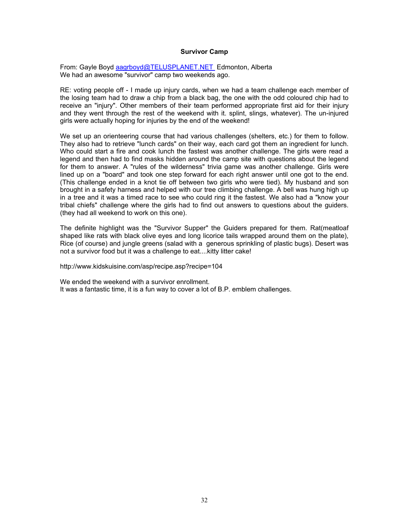#### **Survivor Camp**

From: Gayle Boyd aagrboyd@TELUSPLANET.NET Edmonton, Alberta We had an awesome "survivor" camp two weekends ago.

RE: voting people off - I made up injury cards, when we had a team challenge each member of the losing team had to draw a chip from a black bag, the one with the odd coloured chip had to receive an "injury". Other members of their team performed appropriate first aid for their injury and they went through the rest of the weekend with it. splint, slings, whatever). The un-injured girls were actually hoping for injuries by the end of the weekend!

We set up an orienteering course that had various challenges (shelters, etc.) for them to follow. They also had to retrieve "lunch cards" on their way, each card got them an ingredient for lunch. Who could start a fire and cook lunch the fastest was another challenge. The girls were read a legend and then had to find masks hidden around the camp site with questions about the legend for them to answer. A "rules of the wilderness" trivia game was another challenge. Girls were lined up on a "board" and took one step forward for each right answer until one got to the end. (This challenge ended in a knot tie off between two girls who were tied). My husband and son brought in a safety harness and helped with our tree climbing challenge. A bell was hung high up in a tree and it was a timed race to see who could ring it the fastest. We also had a "know your tribal chiefs" challenge where the girls had to find out answers to questions about the guiders. (they had all weekend to work on this one).

The definite highlight was the "Survivor Supper" the Guiders prepared for them. Rat(meatloaf shaped like rats with black olive eyes and long licorice tails wrapped around them on the plate). Rice (of course) and jungle greens (salad with a generous sprinkling of plastic bugs). Desert was not a survivor food but it was a challenge to eat....kitty litter cake!

http://www.kidskuisine.com/asp/recipe.asp?recipe=104

We ended the weekend with a survivor enrollment.

It was a fantastic time, it is a fun way to cover a lot of B.P. emblem challenges.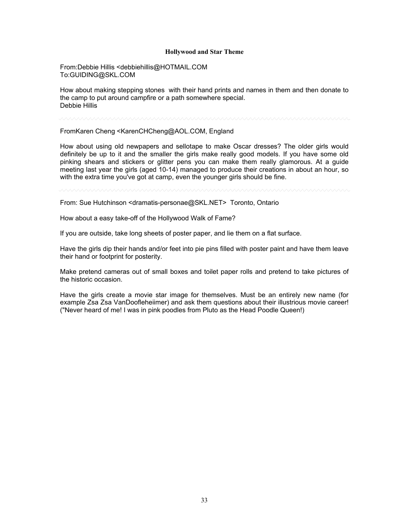#### **Hollywood and Star Theme**

From:Debbie Hillis <debbiehillis@HOTMAIL.COM To:GUIDING@SKL.COM

How about making stepping stones with their hand prints and names in them and then donate to the camp to put around campfire or a path somewhere special. Debbie Hillis

#### FromKaren Cheng <KarenCHCheng@AOL.COM, England

How about using old newpapers and sellotape to make Oscar dresses? The older girls would definitely be up to it and the smaller the girls make really good models. If you have some old pinking shears and stickers or glitter pens you can make them really glamorous. At a guide meeting last year the girls (aged 10-14) managed to produce their creations in about an hour, so with the extra time you've got at camp, even the younger girls should be fine.

From: Sue Hutchinson <dramatis-personae@SKL.NET> Toronto, Ontario

How about a easy take-off of the Hollywood Walk of Fame?

If you are outside, take long sheets of poster paper, and lie them on a flat surface.

Have the girls dip their hands and/or feet into pie pins filled with poster paint and have them leave their hand or footprint for posterity.

Make pretend cameras out of small boxes and toilet paper rolls and pretend to take pictures of the historic occasion.

Have the girls create a movie star image for themselves. Must be an entirely new name (for example Zsa Zsa VanDoofleheiimer) and ask them questions about their illustrious movie career! ("Never heard of me! I was in pink poodles from Pluto as the Head Poodle Queen!)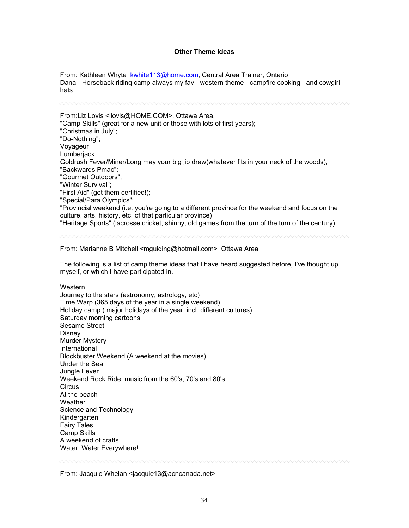## **Other Theme Ideas**

From: Kathleen Whyte kwhite113@home.com, Central Area Trainer, Ontario Dana - Horseback riding camp always my fav - western theme - campfire cooking - and cowgirl hats

From:Liz Lovis <llovis@HOME.COM>, Ottawa Area, "Camp Skills" (great for a new unit or those with lots of first years); "Christmas in July"; "Do-Nothing"; Voyageur Lumberjack Goldrush Fever/Miner/Long may your big jib draw(whatever fits in your neck of the woods), "Backwards Pmac"; "Gourmet Outdoors"; "Winter Survival"; "First Aid" (get them certified!); "Special/Para Olympics"; "Provincial weekend (i.e. you're going to a different province for the weekend and focus on the culture, arts, history, etc. of that particular province) "Heritage Sports" (lacrosse cricket, shinny, old games from the turn of the turn of the century) ...

From: Marianne B Mitchell <mguiding@hotmail.com> Ottawa Area

The following is a list of camp theme ideas that I have heard suggested before, I've thought up myself, or which I have participated in.

**Western** Journey to the stars (astronomy, astrology, etc) Time Warp (365 days of the year in a single weekend) Holiday camp ( major holidays of the year, incl. different cultures) Saturday morning cartoons Sesame Street **Disney** Murder Mystery International Blockbuster Weekend (A weekend at the movies) Under the Sea Jungle Fever Weekend Rock Ride: music from the 60's, 70's and 80's **Circus** At the beach **Weather** Science and Technology Kindergarten Fairy Tales Camp Skills A weekend of crafts Water, Water Everywhere!

From: Jacquie Whelan <jacquie13@acncanada.net>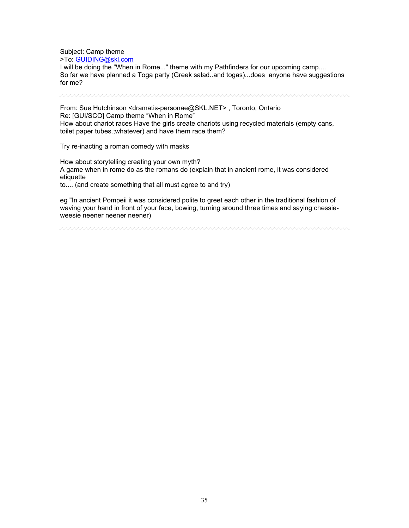Subject: Camp theme

>To: GUIDING@skl.com

I will be doing the "When in Rome..." theme with my Pathfinders for our upcoming camp.... So far we have planned a Toga party (Greek salad..and togas)...does anyone have suggestions for me?

From: Sue Hutchinson <dramatis-personae@SKL.NET> , Toronto, Ontario Re: [GUI/SCO] Camp theme "When in Rome" How about chariot races Have the girls create chariots using recycled materials (empty cans, toilet paper tubes.;whatever) and have them race them?

Try re-inacting a roman comedy with masks

How about storytelling creating your own myth? A game when in rome do as the romans do (explain that in ancient rome, it was considered etiquette

to.... (and create something that all must agree to and try)

eg "In ancient Pompeii it was considered polite to greet each other in the traditional fashion of waving your hand in front of your face, bowing, turning around three times and saying chessieweesie neener neener neener)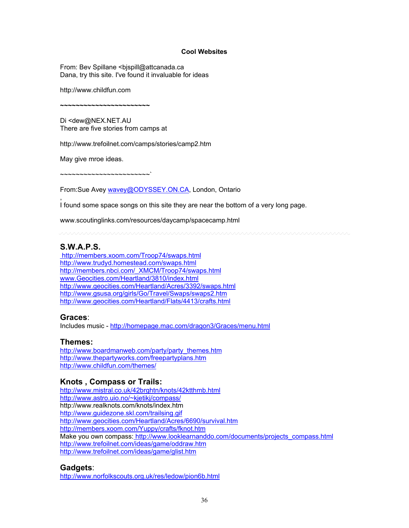## **Cool Websites**

From: Bev Spillane <bjspill@attcanada.ca Dana, try this site. I've found it invaluable for ideas

http://www.childfun.com

Di <dew@NEX.NET.AU There are five stories from camps at

**~~~~~~~~~~~~~~~~~~~~~~~** 

http://www.trefoilnet.com/camps/stories/camp2.htm

May give mroe ideas.

~~~~~~~~~~~~~~~~~~~~~~~`

From:Sue Avey wavey@ODYSSEY.ON.CA, London, Ontario

, I found some space songs on this site they are near the bottom of a very long page.

www.scoutinglinks.com/resources/daycamp/spacecamp.html

# **S.W.A.P.S.**

 http://members.xoom.com/Troop74/swaps.html http://www.trudyd.homestead.com/swaps.html http://members.nbci.com/\_XMCM/Troop74/swaps.html www.Geocities.com/Heartland/3810/index.html http://www.geocities.com/Heartland/Acres/3392/swaps.html http://www.gsusa.org/girls/Go/Travel/Swaps/swaps2.htm http://www.geocities.com/Heartland/Flats/4413/crafts.html

## **Graces**:

Includes music - http://homepage.mac.com/dragon3/Graces/menu.html

## **Themes:**

http://www.boardmanweb.com/party/party\_themes.htm http://www.thepartyworks.com/freepartyplans.htm http://www.childfun.com/themes/

# **Knots , Compass or Trails:**

http://www.mistral.co.uk/42brghtn/knots/42ktthmb.html http://www.astro.uio.no/~kjetikj/compass/ http://www.realknots.com/knots/index.htm http://www.guidezone.skl.com/trailsing.gif http://www.geocities.com/Heartland/Acres/6690/survival.htm http://members.xoom.com/Yuppy/crafts/fknot.htm Make you own compass: http://www.looklearnanddo.com/documents/projects\_compass.html http://www.trefoilnet.com/ideas/game/oddraw.htm http://www.trefoilnet.com/ideas/game/glist.htm

# **Gadgets**:

http://www.norfolkscouts.org.uk/res/ledow/pion6b.html